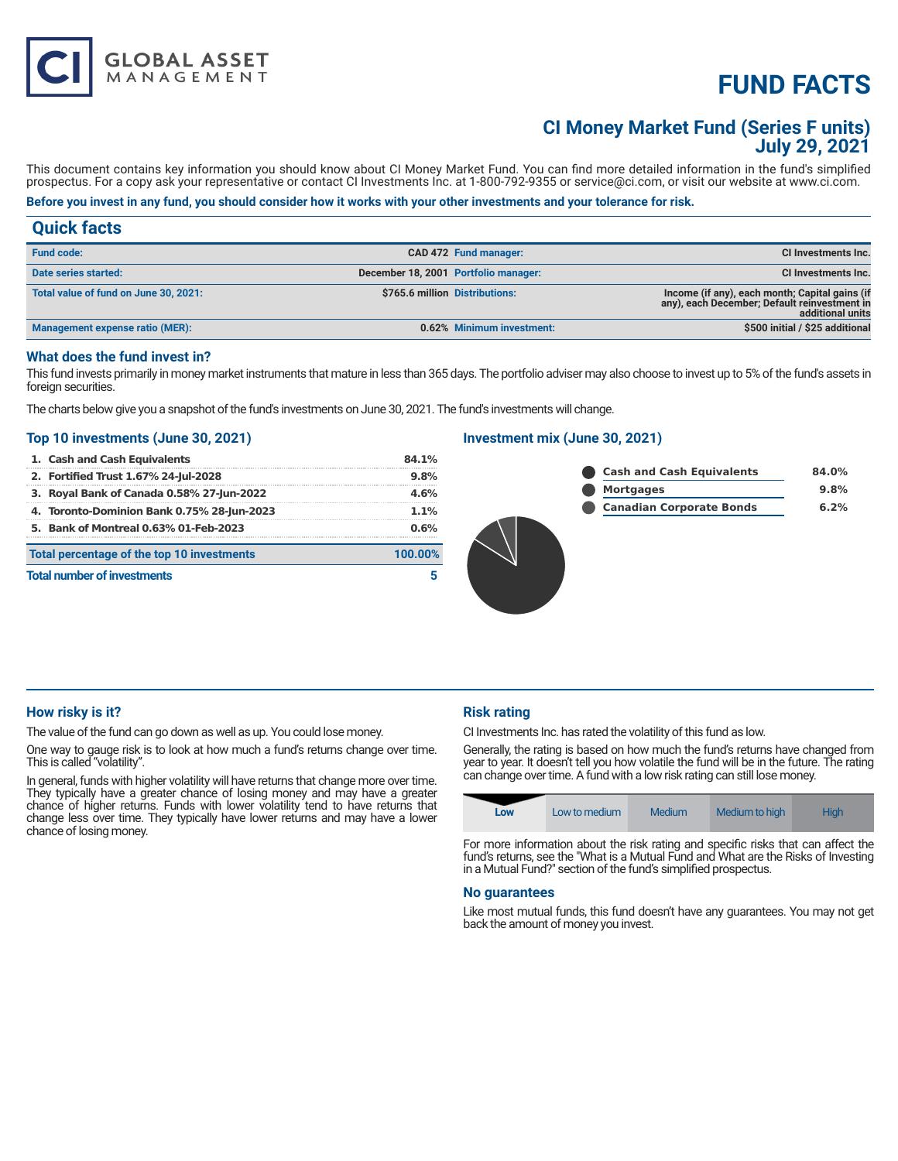# **FUND FACTS**

# **CI Money Market Fund (Series F units) July 29, 2021**

This document contains key information you should know about CI Money Market Fund. You can find more detailed information in the fund's simplified prospectus. For a copy ask your representative or contact CI Investments Inc. at 1-800-792-9355 or service@ci.com, or visit our website at www.ci.com.

# **Before you invest in any fund, you should consider how it works with your other investments and your tolerance for risk.**

# **Quick facts**

| <b>Fund code:</b>                     |                                | CAD 472 Fund manager:                | CI Investments Inc.                                                                                                |
|---------------------------------------|--------------------------------|--------------------------------------|--------------------------------------------------------------------------------------------------------------------|
| Date series started:                  |                                | December 18, 2001 Portfolio manager: | CI Investments Inc.                                                                                                |
| Total value of fund on June 30, 2021: | \$765.6 million Distributions: |                                      | Income (if any), each month; Capital gains (if<br>any), each December; Default reinvestment in<br>additional units |
| Management expense ratio (MER):       |                                | 0.62% Minimum investment:            | \$500 initial / \$25 additional                                                                                    |

# **What does the fund invest in?**

This fund invests primarily in money market instruments that mature in less than 365 days. The portfolio adviser may also choose to invest up to 5% of the fund's assets in foreign securities.

The charts below give you a snapshot of the fund's investments on June 30, 2021. The fund's investments will change.

### **Top 10 investments (June 30, 2021)**

**GLOBAL ASSET**<br>MANAGEMENT

| 1. Cash and Cash Equivalents                          | $84.1\%$ |  |
|-------------------------------------------------------|----------|--|
| 2. Fortified Trust 1.67% 24-Jul-2028                  | 9.8%     |  |
| 3. Royal Bank of Canada 0.58% 27-Jun-2022             | 4.6%     |  |
| 4. Toronto-Dominion Bank 0.75% 28-Jun-2023            | 1.1%     |  |
| 5. Bank of Montreal 0.63% 01-Feb-2023                 | 0.6%     |  |
| Total percentage of the top 10 investments<br>100.00% |          |  |
| <b>Total number of investments</b>                    |          |  |

# **Investment mix (June 30, 2021)**

| <b>Cash and Cash Equivalents</b> |
|----------------------------------|
| <b>Mortgages</b>                 |
| <b>Canadian Corporate Bonds</b>  |



# **How risky is it?**

The value of the fund can go down as well as up. You could lose money.

One way to gauge risk is to look at how much a fund's returns change over time. This is called "volatility".

In general, funds with higher volatility will have returns that change more over time. They typically have a greater chance of losing money and may have a greater chance of higher returns. Funds with lower volatility tend to have returns that change less over time. They typically have lower returns and may have a lower chance of losing money.

# **Risk rating**

CI Investments Inc. has rated the volatility of this fund as low.

Generally, the rating is based on how much the fund's returns have changed from year to year. It doesn't tell you how volatile the fund will be in the future. The rating can change over time. A fund with a low risk rating can still lose money.

| Low | Low to medium | <b>Medium</b> | Medium to high | <b>High</b> |
|-----|---------------|---------------|----------------|-------------|
|-----|---------------|---------------|----------------|-------------|

For more information about the risk rating and specific risks that can affect the fund's returns, see the "What is a Mutual Fund and What are the Risks of Investing in a Mutual Fund?" section of the fund's simplified prospectus.

#### **No guarantees**

Like most mutual funds, this fund doesn't have any guarantees. You may not get back the amount of money you invest.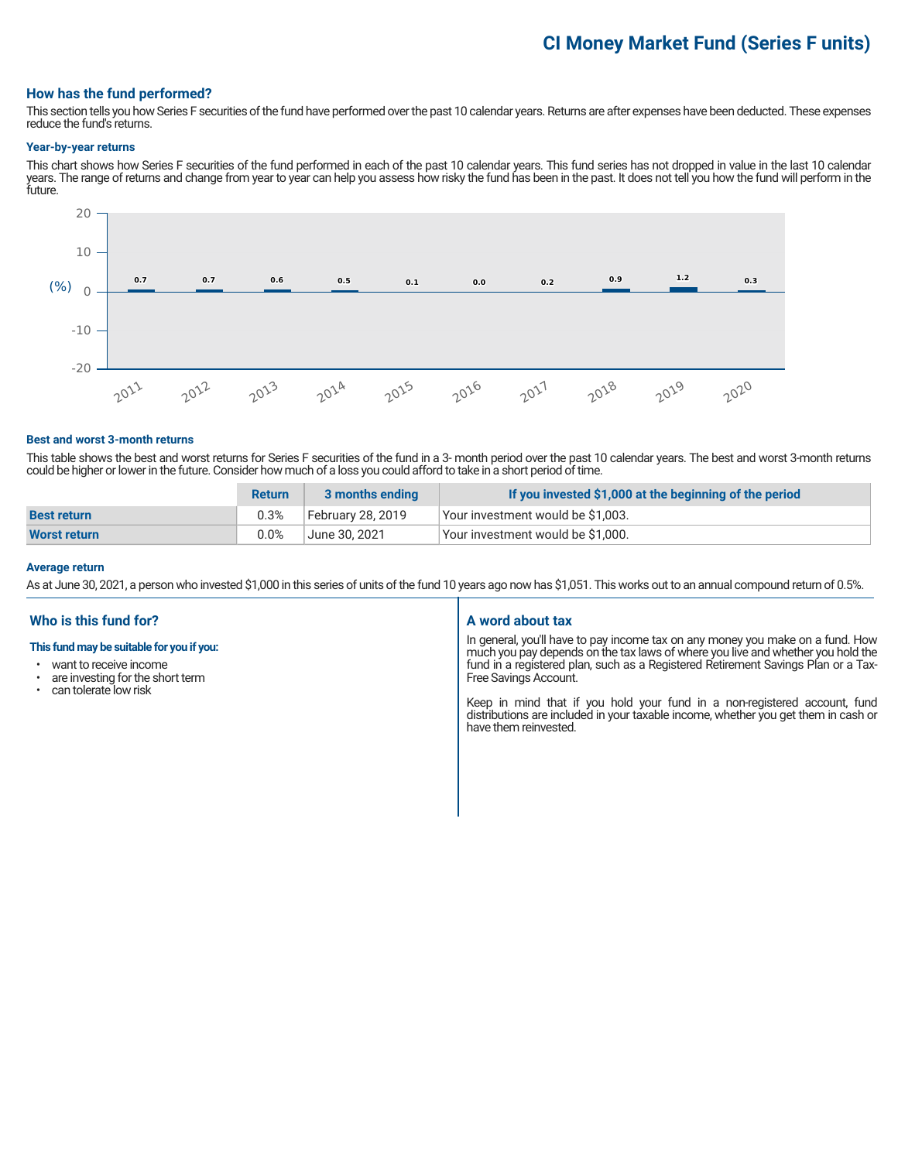# **CI Money Market Fund (Series F units)**

### **How has the fund performed?**

This section tells you how Series F securities of the fund have performed over the past 10 calendar years. Returns are after expenses have been deducted. These expenses reduce the fund's returns.

#### **Year-by-year returns**

This chart shows how Series F securities of the fund performed in each of the past 10 calendar years. This fund series has not dropped in value in the last 10 calendar years. The range of returns and change from year to year can help you assess how risky the fund has been in the past. It does not tell you how the fund will perform in the future.



#### **Best and worst 3-month returns**

This table shows the best and worst returns for Series F securities of the fund in a 3- month period over the past 10 calendar years. The best and worst 3-month returns could be higher or lower in the future. Consider how much of a loss you could afford to take in a short period of time.

|                     | <b>Return</b> | 3 months ending   | If you invested \$1,000 at the beginning of the period |
|---------------------|---------------|-------------------|--------------------------------------------------------|
| <b>Best return</b>  | 0.3%          | February 28, 2019 | Your investment would be \$1,003.                      |
| <b>Worst return</b> | 0.0%          | June 30, 2021     | Your investment would be \$1,000.                      |

#### **Average return**

As at June 30, 2021, a person who invested \$1,000 in this series of units of the fund 10 years ago now has \$1,051. This works out to an annual compound return of 0.5%.

# **Who is this fund for?**

#### **This fund may be suitable for you if you:**

- want to receive income
- are investing for the short term<br>• can tolerate low risk
- can tolerate low risk

### **A word about tax**

In general, you'll have to pay income tax on any money you make on a fund. How much you pay depends on the tax laws of where you live and whether you hold the fund in a registered plan, such as a Registered Retirement Savings Plan or a Tax-Free Savings Account.

Keep in mind that if you hold your fund in a non-registered account, fund distributions are included in your taxable income, whether you get them in cash or have them reinvested.